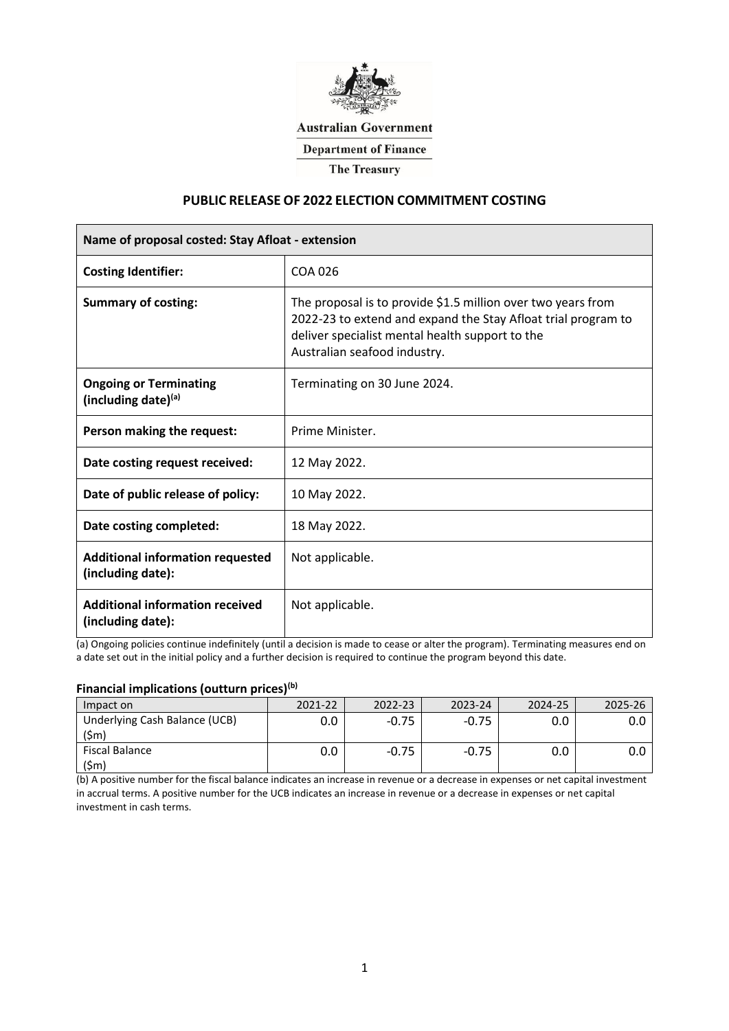

**Australian Government** 

**Department of Finance** 

**The Treasury** 

# **PUBLIC RELEASE OF 2022 ELECTION COMMITMENT COSTING**

| Name of proposal costed: Stay Afloat - extension             |                                                                                                                                                                                                                  |  |  |  |
|--------------------------------------------------------------|------------------------------------------------------------------------------------------------------------------------------------------------------------------------------------------------------------------|--|--|--|
| <b>Costing Identifier:</b>                                   | COA 026                                                                                                                                                                                                          |  |  |  |
| <b>Summary of costing:</b>                                   | The proposal is to provide \$1.5 million over two years from<br>2022-23 to extend and expand the Stay Afloat trial program to<br>deliver specialist mental health support to the<br>Australian seafood industry. |  |  |  |
| <b>Ongoing or Terminating</b><br>(including date)(a)         | Terminating on 30 June 2024.                                                                                                                                                                                     |  |  |  |
| Person making the request:                                   | Prime Minister.                                                                                                                                                                                                  |  |  |  |
| Date costing request received:                               | 12 May 2022.                                                                                                                                                                                                     |  |  |  |
| Date of public release of policy:                            | 10 May 2022.                                                                                                                                                                                                     |  |  |  |
| Date costing completed:                                      | 18 May 2022.                                                                                                                                                                                                     |  |  |  |
| <b>Additional information requested</b><br>(including date): | Not applicable.                                                                                                                                                                                                  |  |  |  |
| <b>Additional information received</b><br>(including date):  | Not applicable.                                                                                                                                                                                                  |  |  |  |

(a) Ongoing policies continue indefinitely (until a decision is made to cease or alter the program). Terminating measures end on a date set out in the initial policy and a further decision is required to continue the program beyond this date.

# **Financial implications (outturn prices)(b)**

| Impact on                            | 2021-22 | 2022-23 | 2023-24 | 2024-25 |  |
|--------------------------------------|---------|---------|---------|---------|--|
| Underlying Cash Balance (UCB)<br>\$m |         |         |         |         |  |
| <b>Fiscal Balance</b>                |         |         |         |         |  |

(b) A positive number for the fiscal balance indicates an increase in revenue or a decrease in expenses or net capital investment in accrual terms. A positive number for the UCB indicates an increase in revenue or a decrease in expenses or net capital investment in cash terms.